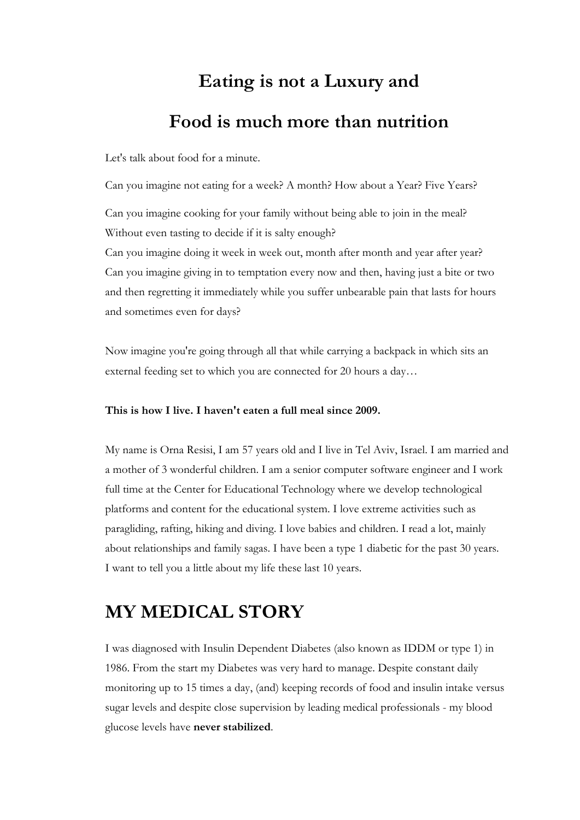# Eating is not a Luxury and

### Food is much more than nutrition

Let's talk about food for a minute.

Can you imagine not eating for a week? A month? How about a Year? Five Years?

Can you imagine cooking for your family without being able to join in the meal? Without even tasting to decide if it is salty enough?

Can you imagine doing it week in week out, month after month and year after year? Can you imagine giving in to temptation every now and then, having just a bite or two and then regretting it immediately while you suffer unbearable pain that lasts for hours and sometimes even for days?

Now imagine you're going through all that while carrying a backpack in which sits an external feeding set to which you are connected for 20 hours a day…

#### This is how I live. I haven't eaten a full meal since 2009.

My name is Orna Resisi, I am 57 years old and I live in Tel Aviv, Israel. I am married and a mother of 3 wonderful children. I am a senior computer software engineer and I work full time at the Center for Educational Technology where we develop technological platforms and content for the educational system. I love extreme activities such as paragliding, rafting, hiking and diving. I love babies and children. I read a lot, mainly about relationships and family sagas. I have been a type 1 diabetic for the past 30 years. I want to tell you a little about my life these last 10 years.

## MY MEDICAL STORY

I was diagnosed with Insulin Dependent Diabetes (also known as IDDM or type 1) in 1986. From the start my Diabetes was very hard to manage. Despite constant daily monitoring up to 15 times a day, (and) keeping records of food and insulin intake versus sugar levels and despite close supervision by leading medical professionals - my blood glucose levels have never stabilized.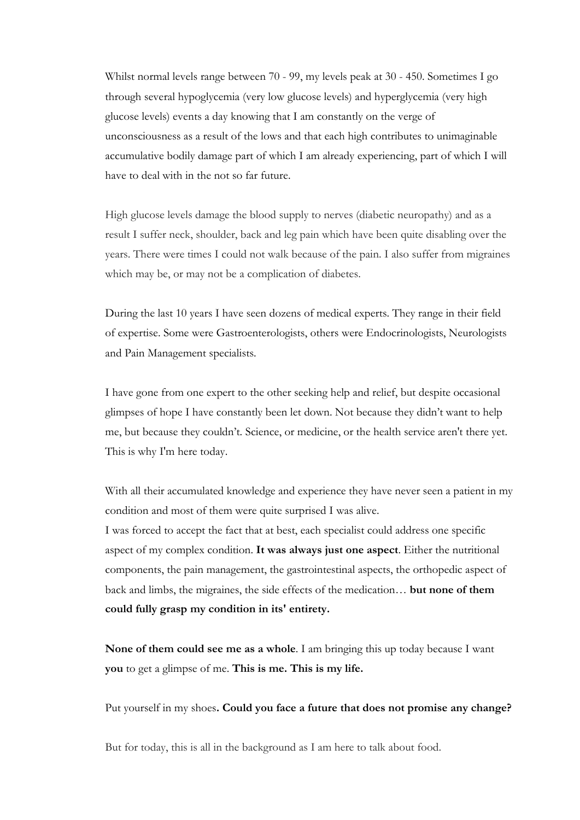Whilst normal levels range between 70 - 99, my levels peak at 30 - 450. Sometimes I go through several hypoglycemia (very low glucose levels) and hyperglycemia (very high glucose levels) events a day knowing that I am constantly on the verge of unconsciousness as a result of the lows and that each high contributes to unimaginable accumulative bodily damage part of which I am already experiencing, part of which I will have to deal with in the not so far future.

High glucose levels damage the blood supply to nerves (diabetic neuropathy) and as a result I suffer neck, shoulder, back and leg pain which have been quite disabling over the years. There were times I could not walk because of the pain. I also suffer from migraines which may be, or may not be a complication of diabetes.

During the last 10 years I have seen dozens of medical experts. They range in their field of expertise. Some were Gastroenterologists, others were Endocrinologists, Neurologists and Pain Management specialists.

I have gone from one expert to the other seeking help and relief, but despite occasional glimpses of hope I have constantly been let down. Not because they didn't want to help me, but because they couldn't. Science, or medicine, or the health service aren't there yet. This is why I'm here today.

With all their accumulated knowledge and experience they have never seen a patient in my condition and most of them were quite surprised I was alive. I was forced to accept the fact that at best, each specialist could address one specific aspect of my complex condition. It was always just one aspect. Either the nutritional components, the pain management, the gastrointestinal aspects, the orthopedic aspect of back and limbs, the migraines, the side effects of the medication… but none of them

could fully grasp my condition in its' entirety.

None of them could see me as a whole. I am bringing this up today because I want you to get a glimpse of me. This is me. This is my life.

Put yourself in my shoes. Could you face a future that does not promise any change?

But for today, this is all in the background as I am here to talk about food.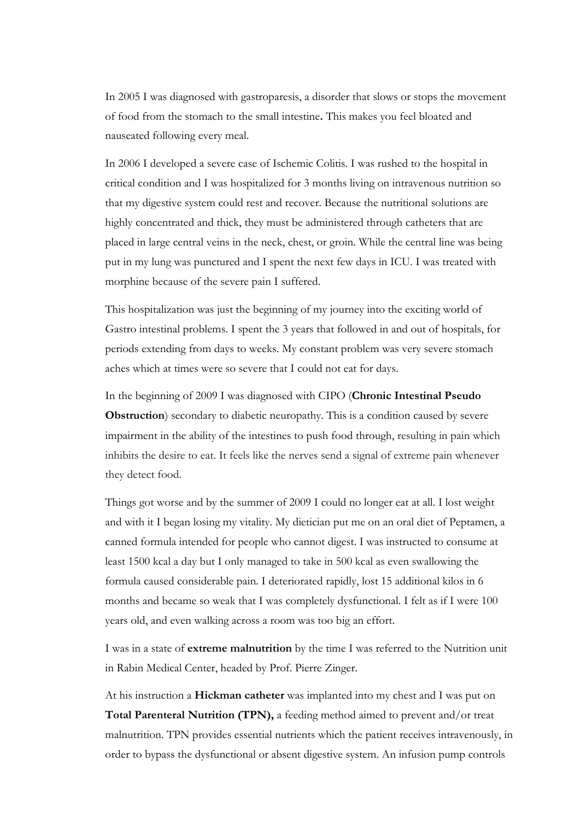In 2005 I was diagnosed with gastroparesis, a disorder that slows or stops the movement of food from the stomach to the small intestine. This makes you feel bloated and nauseated following every meal.

In 2006 I developed a severe case of Ischemic Colitis. I was rushed to the hospital in critical condition and I was hospitalized for 3 months living on intravenous nutrition so that my digestive system could rest and recover. Because the nutritional solutions are highly concentrated and thick, they must be administered through catheters that are placed in large central veins in the neck, chest, or groin. While the central line was being put in my lung was punctured and I spent the next few days in ICU. I was treated with morphine because of the severe pain I suffered.

This hospitalization was just the beginning of my journey into the exciting world of Gastro intestinal problems. I spent the 3 years that followed in and out of hospitals, for periods extending from days to weeks. My constant problem was very severe stomach aches which at times were so severe that I could not eat for days.

In the beginning of 2009 I was diagnosed with CIPO (Chronic Intestinal Pseudo Obstruction) secondary to diabetic neuropathy. This is a condition caused by severe impairment in the ability of the intestines to push food through, resulting in pain which inhibits the desire to eat. It feels like the nerves send a signal of extreme pain whenever they detect food.

Things got worse and by the summer of 2009 I could no longer eat at all. I lost weight and with it I began losing my vitality. My dietician put me on an oral diet of Peptamen, a canned formula intended for people who cannot digest. I was instructed to consume at least 1500 kcal a day but I only managed to take in 500 kcal as even swallowing the formula caused considerable pain. I deteriorated rapidly, lost 15 additional kilos in 6 months and became so weak that I was completely dysfunctional. I felt as if I were 100 years old, and even walking across a room was too big an effort.

I was in a state of extreme malnutrition by the time I was referred to the Nutrition unit in Rabin Medical Center, headed by Prof. Pierre Zinger.

At his instruction a Hickman catheter was implanted into my chest and I was put on Total Parenteral Nutrition (TPN), a feeding method aimed to prevent and/or treat malnutrition. TPN provides essential nutrients which the patient receives intravenously, in order to bypass the dysfunctional or absent digestive system. An infusion pump controls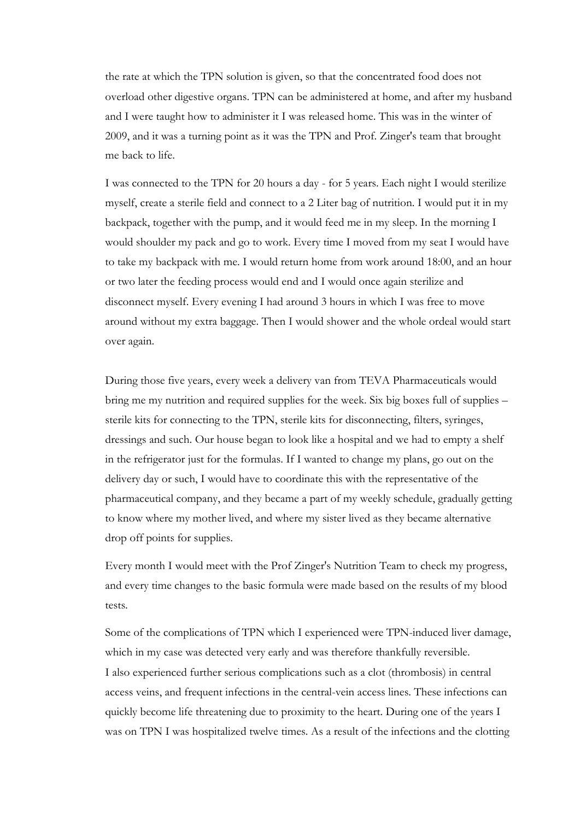the rate at which the TPN solution is given, so that the concentrated food does not overload other digestive organs. TPN can be administered at home, and after my husband and I were taught how to administer it I was released home. This was in the winter of 2009, and it was a turning point as it was the TPN and Prof. Zinger's team that brought me back to life.

I was connected to the TPN for 20 hours a day - for 5 years. Each night I would sterilize myself, create a sterile field and connect to a 2 Liter bag of nutrition. I would put it in my backpack, together with the pump, and it would feed me in my sleep. In the morning I would shoulder my pack and go to work. Every time I moved from my seat I would have to take my backpack with me. I would return home from work around 18:00, and an hour or two later the feeding process would end and I would once again sterilize and disconnect myself. Every evening I had around 3 hours in which I was free to move around without my extra baggage. Then I would shower and the whole ordeal would start over again.

During those five years, every week a delivery van from TEVA Pharmaceuticals would bring me my nutrition and required supplies for the week. Six big boxes full of supplies – sterile kits for connecting to the TPN, sterile kits for disconnecting, filters, syringes, dressings and such. Our house began to look like a hospital and we had to empty a shelf in the refrigerator just for the formulas. If I wanted to change my plans, go out on the delivery day or such, I would have to coordinate this with the representative of the pharmaceutical company, and they became a part of my weekly schedule, gradually getting to know where my mother lived, and where my sister lived as they became alternative drop off points for supplies.

Every month I would meet with the Prof Zinger's Nutrition Team to check my progress, and every time changes to the basic formula were made based on the results of my blood tests.

Some of the complications of TPN which I experienced were TPN-induced liver damage, which in my case was detected very early and was therefore thankfully reversible. I also experienced further serious complications such as a clot (thrombosis) in central access veins, and frequent infections in the central-vein access lines. These infections can quickly become life threatening due to proximity to the heart. During one of the years I was on TPN I was hospitalized twelve times. As a result of the infections and the clotting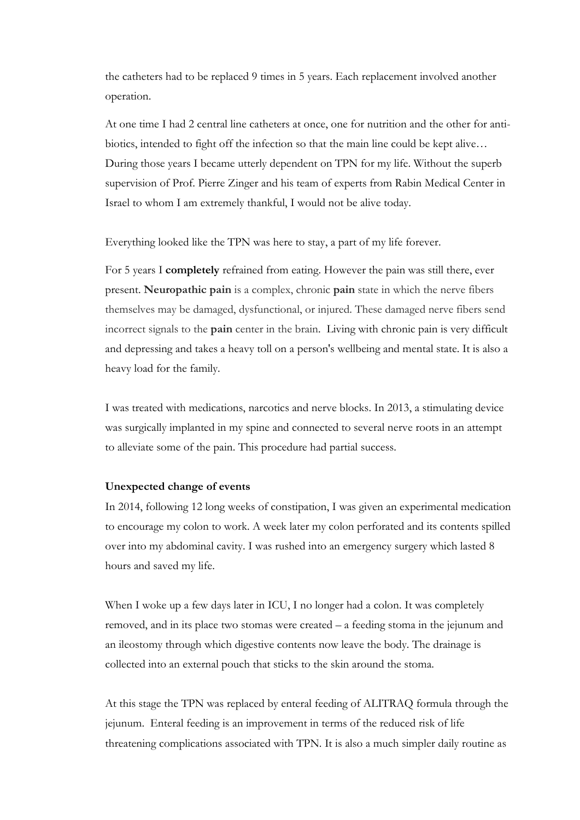the catheters had to be replaced 9 times in 5 years. Each replacement involved another operation.

At one time I had 2 central line catheters at once, one for nutrition and the other for antibiotics, intended to fight off the infection so that the main line could be kept alive… During those years I became utterly dependent on TPN for my life. Without the superb supervision of Prof. Pierre Zinger and his team of experts from Rabin Medical Center in Israel to whom I am extremely thankful, I would not be alive today.

Everything looked like the TPN was here to stay, a part of my life forever.

For 5 years I completely refrained from eating. However the pain was still there, ever present. Neuropathic pain is a complex, chronic pain state in which the nerve fibers themselves may be damaged, dysfunctional, or injured. These damaged nerve fibers send incorrect signals to the pain center in the brain. Living with chronic pain is very difficult and depressing and takes a heavy toll on a person's wellbeing and mental state. It is also a heavy load for the family.

I was treated with medications, narcotics and nerve blocks. In 2013, a stimulating device was surgically implanted in my spine and connected to several nerve roots in an attempt to alleviate some of the pain. This procedure had partial success.

#### Unexpected change of events

In 2014, following 12 long weeks of constipation, I was given an experimental medication to encourage my colon to work. A week later my colon perforated and its contents spilled over into my abdominal cavity. I was rushed into an emergency surgery which lasted 8 hours and saved my life.

When I woke up a few days later in ICU, I no longer had a colon. It was completely removed, and in its place two stomas were created – a feeding stoma in the jejunum and an ileostomy through which digestive contents now leave the body. The drainage is collected into an external pouch that sticks to the skin around the stoma.

At this stage the TPN was replaced by enteral feeding of ALITRAQ formula through the jejunum. Enteral feeding is an improvement in terms of the reduced risk of life threatening complications associated with TPN. It is also a much simpler daily routine as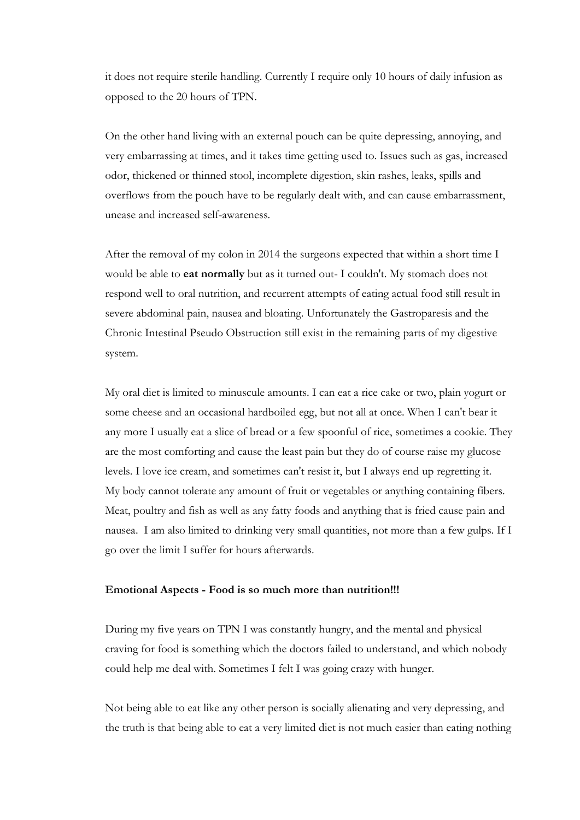it does not require sterile handling. Currently I require only 10 hours of daily infusion as opposed to the 20 hours of TPN.

On the other hand living with an external pouch can be quite depressing, annoying, and very embarrassing at times, and it takes time getting used to. Issues such as gas, increased odor, thickened or thinned stool, incomplete digestion, skin rashes, leaks, spills and overflows from the pouch have to be regularly dealt with, and can cause embarrassment, unease and increased self-awareness.

After the removal of my colon in 2014 the surgeons expected that within a short time I would be able to eat normally but as it turned out- I couldn't. My stomach does not respond well to oral nutrition, and recurrent attempts of eating actual food still result in severe abdominal pain, nausea and bloating. Unfortunately the Gastroparesis and the Chronic Intestinal Pseudo Obstruction still exist in the remaining parts of my digestive system.

My oral diet is limited to minuscule amounts. I can eat a rice cake or two, plain yogurt or some cheese and an occasional hardboiled egg, but not all at once. When I can't bear it any more I usually eat a slice of bread or a few spoonful of rice, sometimes a cookie. They are the most comforting and cause the least pain but they do of course raise my glucose levels. I love ice cream, and sometimes can't resist it, but I always end up regretting it. My body cannot tolerate any amount of fruit or vegetables or anything containing fibers. Meat, poultry and fish as well as any fatty foods and anything that is fried cause pain and nausea. I am also limited to drinking very small quantities, not more than a few gulps. If I go over the limit I suffer for hours afterwards.

#### Emotional Aspects - Food is so much more than nutrition!!!

During my five years on TPN I was constantly hungry, and the mental and physical craving for food is something which the doctors failed to understand, and which nobody could help me deal with. Sometimes I felt I was going crazy with hunger.

Not being able to eat like any other person is socially alienating and very depressing, and the truth is that being able to eat a very limited diet is not much easier than eating nothing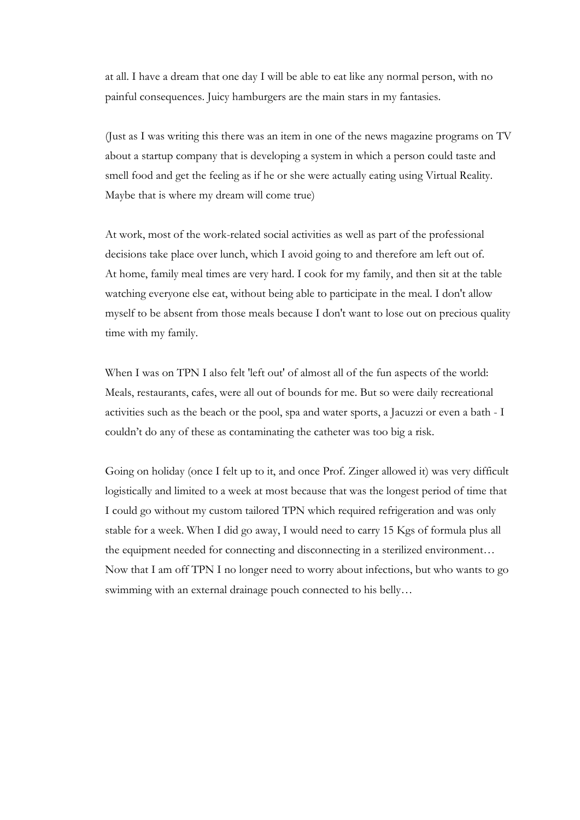at all. I have a dream that one day I will be able to eat like any normal person, with no painful consequences. Juicy hamburgers are the main stars in my fantasies.

(Just as I was writing this there was an item in one of the news magazine programs on TV about a startup company that is developing a system in which a person could taste and smell food and get the feeling as if he or she were actually eating using Virtual Reality. Maybe that is where my dream will come true)

At work, most of the work-related social activities as well as part of the professional decisions take place over lunch, which I avoid going to and therefore am left out of. At home, family meal times are very hard. I cook for my family, and then sit at the table watching everyone else eat, without being able to participate in the meal. I don't allow myself to be absent from those meals because I don't want to lose out on precious quality time with my family.

When I was on TPN I also felt 'left out' of almost all of the fun aspects of the world: Meals, restaurants, cafes, were all out of bounds for me. But so were daily recreational activities such as the beach or the pool, spa and water sports, a Jacuzzi or even a bath - I couldn't do any of these as contaminating the catheter was too big a risk.

Going on holiday (once I felt up to it, and once Prof. Zinger allowed it) was very difficult logistically and limited to a week at most because that was the longest period of time that I could go without my custom tailored TPN which required refrigeration and was only stable for a week. When I did go away, I would need to carry 15 Kgs of formula plus all the equipment needed for connecting and disconnecting in a sterilized environment… Now that I am off TPN I no longer need to worry about infections, but who wants to go swimming with an external drainage pouch connected to his belly…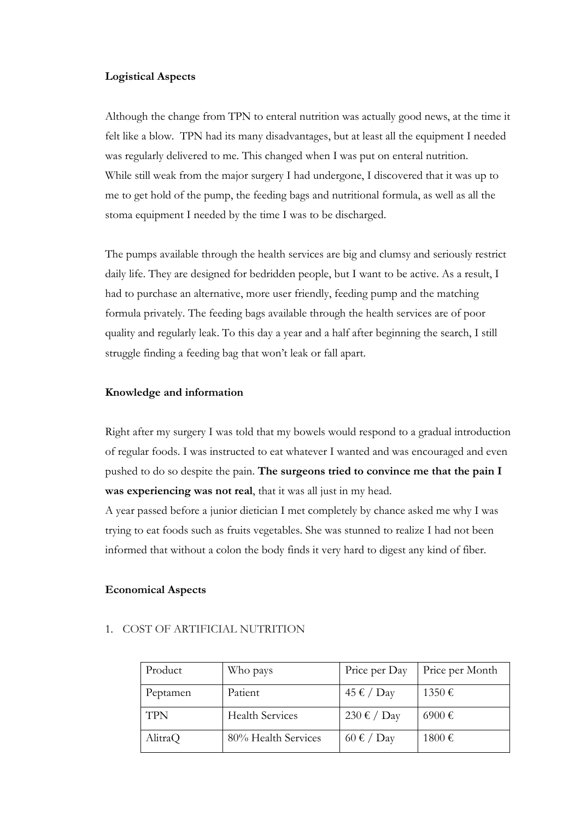#### Logistical Aspects

Although the change from TPN to enteral nutrition was actually good news, at the time it felt like a blow. TPN had its many disadvantages, but at least all the equipment I needed was regularly delivered to me. This changed when I was put on enteral nutrition. While still weak from the major surgery I had undergone, I discovered that it was up to me to get hold of the pump, the feeding bags and nutritional formula, as well as all the stoma equipment I needed by the time I was to be discharged.

The pumps available through the health services are big and clumsy and seriously restrict daily life. They are designed for bedridden people, but I want to be active. As a result, I had to purchase an alternative, more user friendly, feeding pump and the matching formula privately. The feeding bags available through the health services are of poor quality and regularly leak. To this day a year and a half after beginning the search, I still struggle finding a feeding bag that won't leak or fall apart.

#### Knowledge and information

Right after my surgery I was told that my bowels would respond to a gradual introduction of regular foods. I was instructed to eat whatever I wanted and was encouraged and even pushed to do so despite the pain. The surgeons tried to convince me that the pain I was experiencing was not real, that it was all just in my head.

A year passed before a junior dietician I met completely by chance asked me why I was trying to eat foods such as fruits vegetables. She was stunned to realize I had not been informed that without a colon the body finds it very hard to digest any kind of fiber.

#### Economical Aspects

| Product    | Who pays               | Price per Day                   | Price per Month |
|------------|------------------------|---------------------------------|-----------------|
| Peptamen   | Patient                | 45 € / Day                      | 1350€           |
| <b>TPN</b> | <b>Health Services</b> | 230 € / Day                     | 6900€           |
| AlitraQ    | 80% Health Services    | $60 \text{ } \in / \text{ Day}$ | 1800€           |

#### 1. COST OF ARTIFICIAL NUTRITION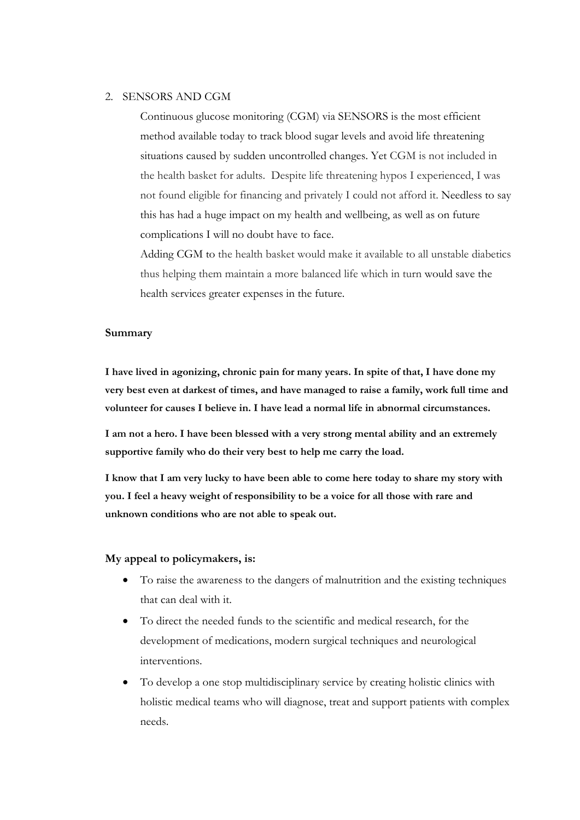#### 2. SENSORS AND CGM

Continuous glucose monitoring (CGM) via SENSORS is the most efficient method available today to track blood sugar levels and avoid life threatening situations caused by sudden uncontrolled changes. Yet CGM is not included in the health basket for adults. Despite life threatening hypos I experienced, I was not found eligible for financing and privately I could not afford it. Needless to say this has had a huge impact on my health and wellbeing, as well as on future complications I will no doubt have to face.

Adding CGM to the health basket would make it available to all unstable diabetics thus helping them maintain a more balanced life which in turn would save the health services greater expenses in the future.

#### Summary

I have lived in agonizing, chronic pain for many years. In spite of that, I have done my very best even at darkest of times, and have managed to raise a family, work full time and volunteer for causes I believe in. I have lead a normal life in abnormal circumstances.

I am not a hero. I have been blessed with a very strong mental ability and an extremely supportive family who do their very best to help me carry the load.

I know that I am very lucky to have been able to come here today to share my story with you. I feel a heavy weight of responsibility to be a voice for all those with rare and unknown conditions who are not able to speak out.

#### My appeal to policymakers, is:

- To raise the awareness to the dangers of malnutrition and the existing techniques that can deal with it.
- To direct the needed funds to the scientific and medical research, for the development of medications, modern surgical techniques and neurological interventions.
- To develop a one stop multidisciplinary service by creating holistic clinics with holistic medical teams who will diagnose, treat and support patients with complex needs.